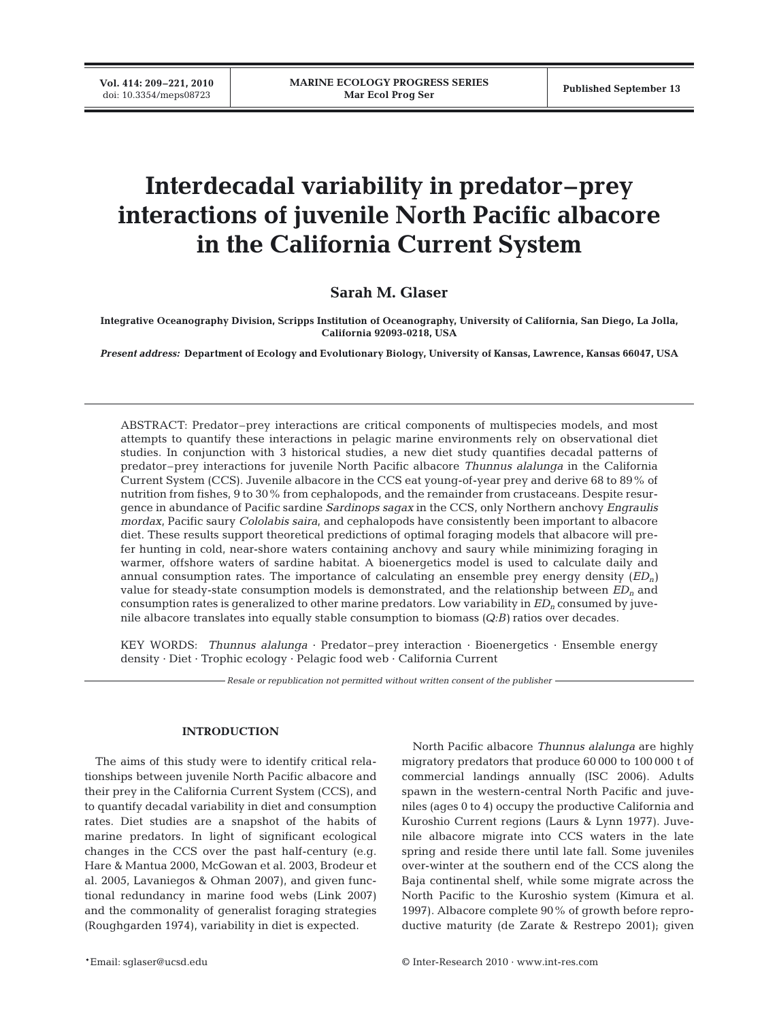**Vol. 414: 209–221, 2010**

# **Interdecadal variability in predator–prey interactions of juvenile North Pacific albacore in the California Current System**

## **Sarah M. Glaser**

**Integrative Oceanography Division, Scripps Institution of Oceanography, University of California, San Diego, La Jolla, California 92093-0218, USA**

*Present address:* **Department of Ecology and Evolutionary Biology, University of Kansas, Lawrence, Kansas 66047, USA**

ABSTRACT: Predator–prey interactions are critical components of multispecies models, and most attempts to quantify these interactions in pelagic marine environments rely on observational diet studies. In conjunction with 3 historical studies, a new diet study quantifies decadal patterns of predator–prey interactions for juvenile North Pacific albacore *Thunnus alalunga* in the California Current System (CCS). Juvenile albacore in the CCS eat young-of-year prey and derive 68 to 89% of nutrition from fishes, 9 to 30% from cephalopods, and the remainder from crustaceans. Despite resurgence in abundance of Pacific sardine *Sardinops sagax* in the CCS, only Northern anchovy *Engraulis mordax*, Pacific saury *Cololabis saira*, and cephalopods have consistently been important to albacore diet. These results support theoretical predictions of optimal foraging models that albacore will prefer hunting in cold, near-shore waters containing anchovy and saury while minimizing foraging in warmer, offshore waters of sardine habitat. A bioenergetics model is used to calculate daily and annual consumption rates. The importance of calculating an ensemble prey energy density (*EDn)* value for steady-state consumption models is demonstrated, and the relationship between *EDn* and consumption rates is generalized to other marine predators. Low variability in *EDn* consumed by juvenile albacore translates into equally stable consumption to biomass *(Q:B)* ratios over decades.

KEY WORDS: *Thunnus alalunga* · Predator–prey interaction · Bioenergetics · Ensemble energy density · Diet · Trophic ecology · Pelagic food web · California Current

*Resale or republication not permitted without written consent of the publisher*

## **INTRODUCTION**

The aims of this study were to identify critical relationships between juvenile North Pacific albacore and their prey in the California Current System (CCS), and to quantify decadal variability in diet and consumption rates. Diet studies are a snapshot of the habits of marine predators. In light of significant ecological changes in the CCS over the past half-century (e.g. Hare & Mantua 2000, McGowan et al. 2003, Brodeur et al. 2005, Lavaniegos & Ohman 2007), and given functional redundancy in marine food webs (Link 2007) and the commonality of generalist foraging strategies (Roughgarden 1974), variability in diet is expected.

North Pacific albacore *Thunnus alalunga* are highly migratory predators that produce 60 000 to 100 000 t of commercial landings annually (ISC 2006). Adults spawn in the western-central North Pacific and juveniles (ages 0 to 4) occupy the productive California and Kuroshio Current regions (Laurs & Lynn 1977). Juvenile albacore migrate into CCS waters in the late spring and reside there until late fall. Some juveniles over-winter at the southern end of the CCS along the Baja continental shelf, while some migrate across the North Pacific to the Kuroshio system (Kimura et al. 1997). Albacore complete 90% of growth before reproductive maturity (de Zarate & Restrepo 2001); given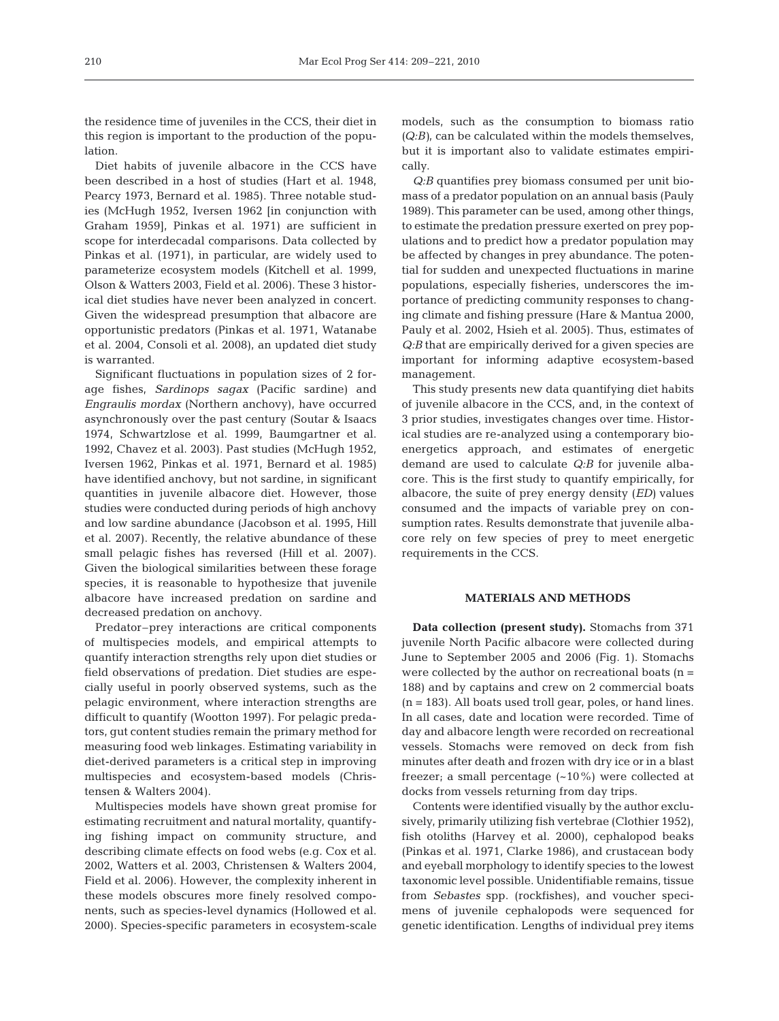the residence time of juveniles in the CCS, their diet in this region is important to the production of the population.

Diet habits of juvenile albacore in the CCS have been described in a host of studies (Hart et al. 1948, Pearcy 1973, Bernard et al. 1985). Three notable studies (McHugh 1952, Iversen 1962 [in conjunction with Graham 1959], Pinkas et al. 1971) are sufficient in scope for interdecadal comparisons. Data collected by Pinkas et al. (1971), in particular, are widely used to parameterize ecosystem models (Kitchell et al. 1999, Olson & Watters 2003, Field et al. 2006). These 3 historical diet studies have never been analyzed in concert. Given the widespread presumption that albacore are opportunistic predators (Pinkas et al. 1971, Watanabe et al. 2004, Consoli et al. 2008), an updated diet study is warranted.

Significant fluctuations in population sizes of 2 forage fishes, *Sardinops sagax* (Pacific sardine) and *Engraulis mordax* (Northern anchovy), have occurred asynchronously over the past century (Soutar & Isaacs 1974, Schwartzlose et al. 1999, Baumgartner et al. 1992, Chavez et al. 2003). Past studies (McHugh 1952, Iversen 1962, Pinkas et al. 1971, Bernard et al. 1985) have identified anchovy, but not sardine, in significant quantities in juvenile albacore diet. However, those studies were conducted during periods of high anchovy and low sardine abundance (Jacobson et al. 1995, Hill et al. 2007). Recently, the relative abundance of these small pelagic fishes has reversed (Hill et al. 2007). Given the biological similarities between these forage species, it is reasonable to hypothesize that juvenile albacore have increased predation on sardine and decreased predation on anchovy.

Predator–prey interactions are critical components of multispecies models, and empirical attempts to quantify interaction strengths rely upon diet studies or field observations of predation. Diet studies are especially useful in poorly observed systems, such as the pelagic environment, where interaction strengths are difficult to quantify (Wootton 1997). For pelagic predators, gut content studies remain the primary method for measuring food web linkages. Estimating variability in diet-derived parameters is a critical step in improving multispecies and ecosystem-based models (Christensen & Walters 2004).

Multispecies models have shown great promise for estimating recruitment and natural mortality, quantifying fishing impact on community structure, and describing climate effects on food webs (e.g. Cox et al. 2002, Watters et al. 2003, Christensen & Walters 2004, Field et al. 2006). However, the complexity inherent in these models obscures more finely resolved components, such as species-level dynamics (Hollowed et al. 2000). Species-specific parameters in ecosystem-scale

models, such as the consumption to biomass ratio *(Q:B)*, can be calculated within the models themselves, but it is important also to validate estimates empirically.

*Q:B* quantifies prey biomass consumed per unit biomass of a predator population on an annual basis (Pauly 1989). This parameter can be used, among other things, to estimate the predation pressure exerted on prey populations and to predict how a predator population may be affected by changes in prey abundance. The potential for sudden and unexpected fluctuations in marine populations, especially fisheries, underscores the importance of predicting community responses to changing climate and fishing pressure (Hare & Mantua 2000, Pauly et al. 2002, Hsieh et al. 2005). Thus, estimates of *Q:B* that are empirically derived for a given species are important for informing adaptive ecosystem-based management.

This study presents new data quantifying diet habits of juvenile albacore in the CCS, and, in the context of 3 prior studies, investigates changes over time. Historical studies are re-analyzed using a contemporary bioenergetics approach, and estimates of energetic demand are used to calculate *Q:B* for juvenile albacore. This is the first study to quantify empirically, for albacore, the suite of prey energy density (*ED)* values consumed and the impacts of variable prey on consumption rates. Results demonstrate that juvenile albacore rely on few species of prey to meet energetic requirements in the CCS.

## **MATERIALS AND METHODS**

**Data collection (present study).** Stomachs from 371 juvenile North Pacific albacore were collected during June to September 2005 and 2006 (Fig. 1). Stomachs were collected by the author on recreational boats  $(n =$ 188) and by captains and crew on 2 commercial boats (n = 183). All boats used troll gear, poles, or hand lines. In all cases, date and location were recorded. Time of day and albacore length were recorded on recreational vessels. Stomachs were removed on deck from fish minutes after death and frozen with dry ice or in a blast freezer; a small percentage  $(-10\%)$  were collected at docks from vessels returning from day trips.

Contents were identified visually by the author exclusively, primarily utilizing fish vertebrae (Clothier 1952), fish otoliths (Harvey et al. 2000), cephalopod beaks (Pinkas et al. 1971, Clarke 1986), and crustacean body and eyeball morphology to identify species to the lowest taxonomic level possible. Unidentifiable remains, tissue from *Sebastes* spp. (rockfishes), and voucher specimens of juvenile cephalopods were sequenced for genetic identification. Lengths of individual prey items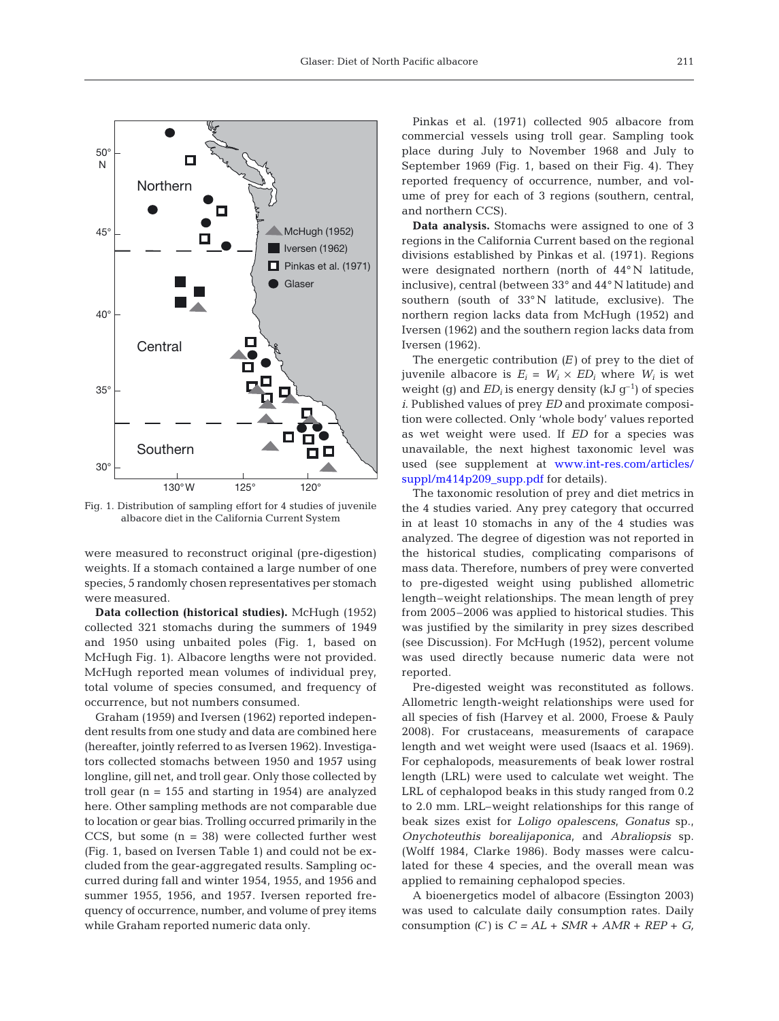

Fig. 1. Distribution of sampling effort for 4 studies of juvenile albacore diet in the California Current System

were measured to reconstruct original (pre-digestion) weights. If a stomach contained a large number of one species, 5 randomly chosen representatives per stomach were measured.

**Data collection (historical studies).** McHugh (1952) collected 321 stomachs during the summers of 1949 and 1950 using unbaited poles (Fig. 1, based on McHugh Fig. 1). Albacore lengths were not provided. McHugh reported mean volumes of individual prey, total volume of species consumed, and frequency of occurrence, but not numbers consumed.

Graham (1959) and Iversen (1962) reported independent results from one study and data are combined here (hereafter, jointly referred to as Iversen 1962). Investigators collected stomachs between 1950 and 1957 using longline, gill net, and troll gear. Only those collected by troll gear ( $n = 155$  and starting in 1954) are analyzed here. Other sampling methods are not comparable due to location or gear bias. Trolling occurred primarily in the CCS, but some  $(n = 38)$  were collected further west (Fig. 1, based on Iversen Table 1) and could not be excluded from the gear-aggregated results. Sampling occurred during fall and winter 1954, 1955, and 1956 and summer 1955, 1956, and 1957. Iversen reported frequency of occurrence, number, and volume of prey items while Graham reported numeric data only.

Pinkas et al. (1971) collected 905 albacore from commercial vessels using troll gear. Sampling took place during July to November 1968 and July to September 1969 (Fig. 1, based on their Fig. 4). They reported frequency of occurrence, number, and volume of prey for each of 3 regions (southern, central, and northern CCS).

**Data analysis.** Stomachs were assigned to one of 3 regions in the California Current based on the regional divisions established by Pinkas et al. (1971). Regions were designated northern (north of 44° N latitude, inclusive), central (between 33° and 44° N latitude) and southern (south of 33° N latitude, exclusive). The northern region lacks data from McHugh (1952) and Iversen (1962) and the southern region lacks data from Iversen (1962).

The energetic contribution *(E)* of prey to the diet of juvenile albacore is  $E_i = W_i \times ED_i$  where  $W_i$  is wet weight (g) and  $ED_i$  is energy density (kJ  $g^{-1}$ ) of species *i*. Published values of prey *ED* and proximate composition were collected. Only 'whole body' values reported as wet weight were used. If *ED* for a species was unavailable, the next highest taxonomic level was used (see supplement a[t www.int-res.com/articles/](http://www.int-res.com/articles/suppl/m414p209_supp.pdf) [suppl/m414p209\\_supp.pdf](http://www.int-res.com/articles/suppl/m414p209_supp.pdf) for details).

The taxonomic resolution of prey and diet metrics in the 4 studies varied. Any prey category that occurred in at least 10 stomachs in any of the 4 studies was analyzed. The degree of digestion was not reported in the historical studies, complicating comparisons of mass data. Therefore, numbers of prey were converted to pre-digested weight using published allometric length–weight relationships. The mean length of prey from 2005–2006 was applied to historical studies. This was justified by the similarity in prey sizes described (see Discussion). For McHugh (1952), percent volume was used directly because numeric data were not reported.

Pre-digested weight was reconstituted as follows. Allometric length-weight relationships were used for all species of fish (Harvey et al. 2000, Froese & Pauly 2008). For crustaceans, measurements of carapace length and wet weight were used (Isaacs et al. 1969). For cephalopods, measurements of beak lower rostral length (LRL) were used to calculate wet weight. The LRL of cephalopod beaks in this study ranged from 0.2 to 2.0 mm. LRL–weight relationships for this range of beak sizes exist for *Loligo opalescens*, *Gonatus* sp., *Onychoteuthis borealijaponica*, and *Abraliopsis* sp. (Wolff 1984, Clarke 1986). Body masses were calculated for these 4 species, and the overall mean was applied to remaining cephalopod species.

A bioenergetics model of albacore (Essington 2003) was used to calculate daily consumption rates. Daily consumption *(C)* is  $C = AL + SMR + AMR + REP + G$ ,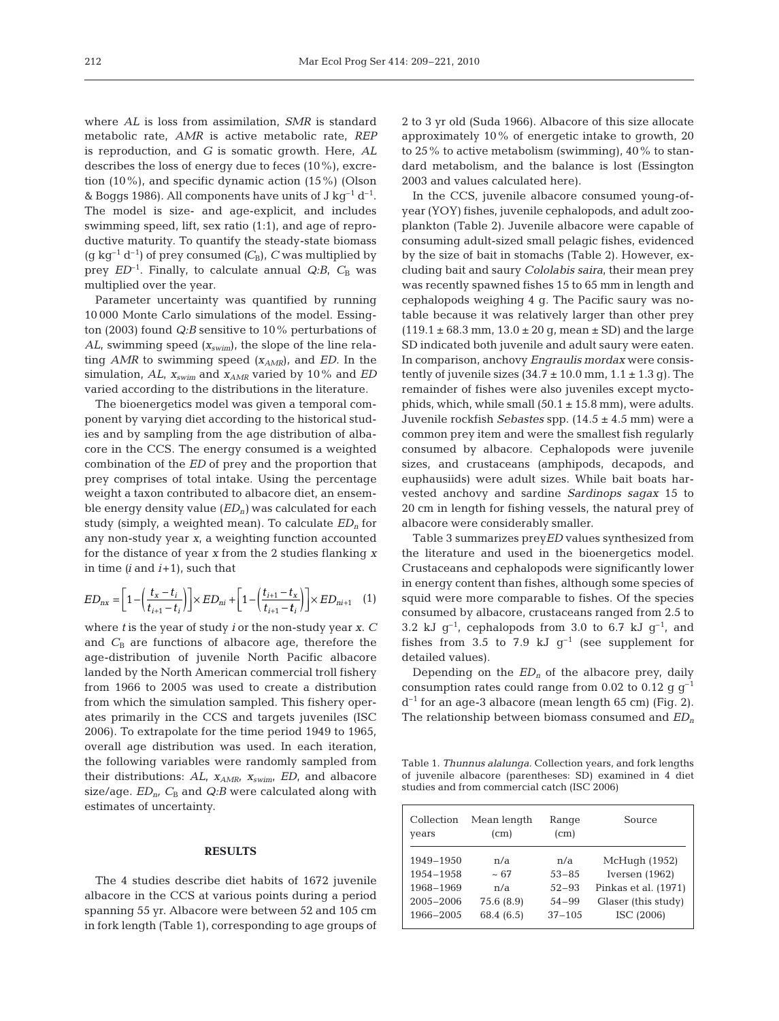where *AL* is loss from assimilation, *SMR* is standard metabolic rate, *AMR* is active metabolic rate, *REP* is reproduction, and *G* is somatic growth. Here, *AL* describes the loss of energy due to feces (10%), excretion (10%), and specific dynamic action (15%) (Olson & Boggs 1986). All components have units of J kg<sup>-1</sup> d<sup>-1</sup>. The model is size- and age-explicit, and includes swimming speed, lift, sex ratio (1:1), and age of reproductive maturity. To quantify the steady-state biomass (g kg<sup>-1</sup> d<sup>-1</sup>) of prey consumed  $(C_B)$ , *C* was multiplied by prey  $ED^{-1}$ . Finally, to calculate annual  $Q:B$ ,  $C_B$  was multiplied over the year.

Parameter uncertainty was quantified by running 10 000 Monte Carlo simulations of the model. Essington (2003) found *Q:B* sensitive to 10% perturbations of *AL*, swimming speed *(xswim*), the slope of the line relating *AMR* to swimming speed ( $x<sub>AMR</sub>$ ), and *ED*. In the simulation, *AL*,  $x_{\text{swim}}$  and  $x_{\text{AMR}}$  varied by 10% and *ED* varied according to the distributions in the literature.

The bioenergetics model was given a temporal component by varying diet according to the historical studies and by sampling from the age distribution of albacore in the CCS. The energy consumed is a weighted combination of the *ED* of prey and the proportion that prey comprises of total intake. Using the percentage weight a taxon contributed to albacore diet, an ensemble energy density value  $(ED<sub>n</sub>)$  was calculated for each study (simply, a weighted mean). To calculate  $ED<sub>n</sub>$  for any non-study year *x*, a weighting function accounted for the distance of year *x* from the 2 studies flanking *x* in time *(i* and *i*+1), such that

$$
ED_{nx} = \left[1 - \left(\frac{t_x - t_i}{t_{i+1} - t_i}\right)\right] \times ED_{ni} + \left[1 - \left(\frac{t_{i+1} - t_x}{t_{i+1} - t_i}\right)\right] \times ED_{ni+1} \quad (1)
$$

where *t* is the year of study *i* or the non-study year *x*. *C* and  $C_B$  are functions of albacore age, therefore the age-distribution of juvenile North Pacific albacore landed by the North American commercial troll fishery from 1966 to 2005 was used to create a distribution from which the simulation sampled. This fishery operates primarily in the CCS and targets juveniles (ISC 2006). To extrapolate for the time period 1949 to 1965, overall age distribution was used. In each iteration, the following variables were randomly sampled from their distributions:  $AL$ ,  $x_{AMR}$ ,  $x_{swim}$ ,  $ED$ , and albacore size/age.  $ED_n$ ,  $C_B$  and  $Q:B$  were calculated along with estimates of uncertainty.

## **RESULTS**

The 4 studies describe diet habits of 1672 juvenile albacore in the CCS at various points during a period spanning 55 yr. Albacore were between 52 and 105 cm in fork length (Table 1), corresponding to age groups of 2 to 3 yr old (Suda 1966). Albacore of this size allocate approximately 10% of energetic intake to growth, 20 to 25% to active metabolism (swimming), 40% to standard metabolism, and the balance is lost (Essington 2003 and values calculated here).

In the CCS, juvenile albacore consumed young-ofyear (YOY) fishes, juvenile cephalopods, and adult zooplankton (Table 2). Juvenile albacore were capable of consuming adult-sized small pelagic fishes, evidenced by the size of bait in stomachs (Table 2). However, excluding bait and saury *Cololabis saira*, their mean prey was recently spawned fishes 15 to 65 mm in length and cephalopods weighing 4 g. The Pacific saury was notable because it was relatively larger than other prey  $(119.1 \pm 68.3 \text{ mm}, 13.0 \pm 20 \text{ g}, \text{mean} \pm \text{SD})$  and the large SD indicated both juvenile and adult saury were eaten. In comparison, anchovy *Engraulis mordax* were consistently of juvenile sizes  $(34.7 \pm 10.0 \text{ mm}, 1.1 \pm 1.3 \text{ g})$ . The remainder of fishes were also juveniles except myctophids, which, while small  $(50.1 \pm 15.8 \text{ mm})$ , were adults. Juvenile rockfish *Sebastes* spp. (14.5 ± 4.5 mm) were a common prey item and were the smallest fish regularly consumed by albacore. Cephalopods were juvenile sizes, and crustaceans (amphipods, decapods, and euphausiids) were adult sizes. While bait boats harvested anchovy and sardine *Sardinops sagax* 15 to 20 cm in length for fishing vessels, the natural prey of albacore were considerably smaller.

Table 3 summarizes prey*ED* values synthesized from the literature and used in the bioenergetics model. Crustaceans and cephalopods were significantly lower in energy content than fishes, although some species of squid were more comparable to fishes. Of the species consumed by albacore, crustaceans ranged from 2.5 to 3.2 kJ  $q^{-1}$ , cephalopods from 3.0 to 6.7 kJ  $q^{-1}$ , and fishes from 3.5 to 7.9 kJ  $q^{-1}$  (see supplement for detailed values).

Depending on the  $ED_n$  of the albacore prey, daily consumption rates could range from 0.02 to 0.12 g  $g^{-1}$  $d^{-1}$  for an age-3 albacore (mean length 65 cm) (Fig. 2). The relationship between biomass consumed and *EDn*

Table 1. *Thunnus alalunga.* Collection years, and fork lengths of juvenile albacore (parentheses: SD) examined in 4 diet studies and from commercial catch (ISC 2006)

| Collection<br>years | Mean length<br>(c <sub>m</sub> ) | Range<br>(c <sub>m</sub> ) | Source               |
|---------------------|----------------------------------|----------------------------|----------------------|
| 1949-1950           | n/a                              | n/a                        | McHugh (1952)        |
| 1954-1958           | $~10-67$                         | $53 - 85$                  | Iversen $(1962)$     |
| 1968-1969           | n/a                              | $52 - 93$                  | Pinkas et al. (1971) |
| $2005 - 2006$       | 75.6 (8.9)                       | $54 - 99$                  | Glaser (this study)  |
| 1966-2005           | 68.4 (6.5)                       | $37 - 105$                 | ISC (2006)           |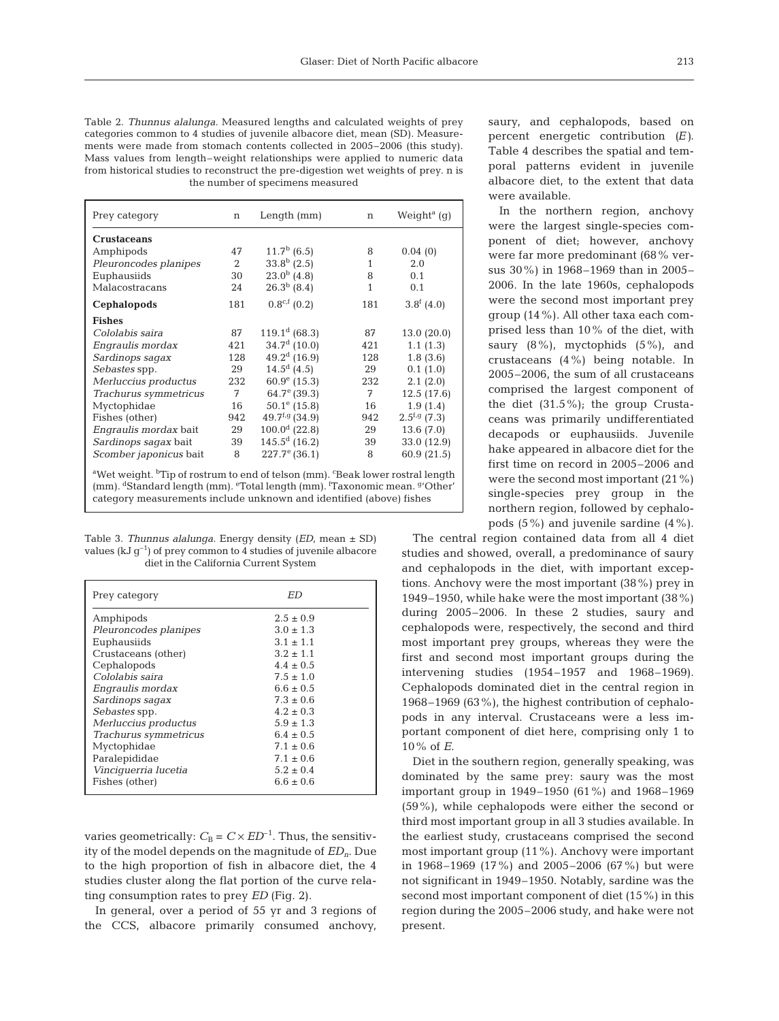| Table 2. Thunnus alalunga. Measured lengths and calculated weights of prey         |
|------------------------------------------------------------------------------------|
| categories common to 4 studies of juvenile albacore diet, mean (SD). Measure-      |
| ments were made from stomach contents collected in 2005–2006 (this study).         |
| Mass values from length-weight relationships were applied to numeric data          |
| from historical studies to reconstruct the pre-digestion wet weights of prey. n is |
| the number of specimens measured                                                   |
|                                                                                    |

| Prey category                                                                                                                                                                                                                                    | n   | Length(mm)                 | $\mathbf n$ | Weight <sup>a</sup> (q) |
|--------------------------------------------------------------------------------------------------------------------------------------------------------------------------------------------------------------------------------------------------|-----|----------------------------|-------------|-------------------------|
| <b>Crustaceans</b>                                                                                                                                                                                                                               |     |                            |             |                         |
| Amphipods                                                                                                                                                                                                                                        | 47  | $11.7b$ (6.5)              | 8           | 0.04(0)                 |
| Pleuroncodes planipes                                                                                                                                                                                                                            | 2   | $33.8b$ (2.5)              | 1           | 2.0                     |
| Euphausiids                                                                                                                                                                                                                                      | 30  | $23.0^{b}$ (4.8)           | 8           | 0.1                     |
| Malacostracans                                                                                                                                                                                                                                   | 24  | $26.3^b$ (8.4)             | 1           | 0.1                     |
| Cephalopods                                                                                                                                                                                                                                      | 181 | $0.8^{\text{c,f}}(0.2)$    | 181         | 3.8 <sup>f</sup> (4.0)  |
| <b>Fishes</b>                                                                                                                                                                                                                                    |     |                            |             |                         |
| Cololabis saira                                                                                                                                                                                                                                  | 87  | $119.1^d$ (68.3)           | 87          | 13.0 (20.0)             |
| Engraulis mordax                                                                                                                                                                                                                                 | 421 | $34.7d$ (10.0)             | 421         | 1.1(1.3)                |
| Sardinops sagax                                                                                                                                                                                                                                  | 128 | $49.2d$ (16.9)             | 128         | 1.8(3.6)                |
| Sebastes spp.                                                                                                                                                                                                                                    | 29  | $14.5^d$ (4.5)             | 29          | 0.1(1.0)                |
| Merluccius productus                                                                                                                                                                                                                             | 232 | $60.9^{\circ}$ (15.3)      | 232         | 2.1(2.0)                |
| Trachurus symmetricus                                                                                                                                                                                                                            | 7   | 64.7 $^{e}$ (39.3)         | 7           | 12.5(17.6)              |
| Myctophidae                                                                                                                                                                                                                                      | 16  | $50.1^{\circ}$ (15.8)      | 16          | 1.9(1.4)                |
| Fishes (other)                                                                                                                                                                                                                                   | 942 | 49.7 <sup>f,g</sup> (34.9) | 942         | $2.5^{f,g}$ (7.3)       |
| Engraulis mordax bait                                                                                                                                                                                                                            | 29  | $100.0^d$ (22.8)           | 29          | 13.6(7.0)               |
| Sardinops sagax bait                                                                                                                                                                                                                             | 39  | $145.5^d$ (16.2)           | 39          | 33.0 (12.9)             |
| Scomber japonicus bait                                                                                                                                                                                                                           | 8   | $227.7^{\circ}$ (36.1)     | 8           | 60.9 (21.5)             |
| <sup>a</sup> Wet weight. <sup>b</sup> Tip of rostrum to end of telson (mm). <sup>c</sup> Beak lower rostral length<br>(mm). <sup>d</sup> Standard length (mm). <sup>e</sup> Total length (mm). <sup>f</sup> Taxonomic mean. <sup>g</sup> 'Other' |     |                            |             |                         |

Table 3. *Thunnus alalunga.* Energy density (*ED*, mean ± SD) values (kJ  $g^{-1}$ ) of prey common to 4 studies of juvenile albacore diet in the California Current System

category measurements include unknown and identified (above) fishes

| ED            |
|---------------|
| $2.5 \pm 0.9$ |
| $3.0 \pm 1.3$ |
| $3.1 \pm 1.1$ |
| $3.2 \pm 1.1$ |
| $4.4 \pm 0.5$ |
| $7.5 \pm 1.0$ |
| $6.6 \pm 0.5$ |
| $7.3 \pm 0.6$ |
| $4.2 \pm 0.3$ |
| $5.9 \pm 1.3$ |
| $6.4 + 0.5$   |
| $7.1 \pm 0.6$ |
| $7.1 \pm 0.6$ |
| $5.2 \pm 0.4$ |
| $6.6 \pm 0.6$ |
|               |

varies geometrically:  $C_B = C \times ED^{-1}$ . Thus, the sensitivity of the model depends on the magnitude of *EDn*. Due to the high proportion of fish in albacore diet, the 4 studies cluster along the flat portion of the curve relating consumption rates to prey *ED* (Fig. 2).

In general, over a period of 55 yr and 3 regions of the CCS, albacore primarily consumed anchovy, saury, and cephalopods, based on percent energetic contribution *(E)*. Table 4 describes the spatial and temporal patterns evident in juvenile albacore diet, to the extent that data were available.

In the northern region, anchovy were the largest single-species component of diet; however, anchovy were far more predominant (68% versus 30%) in 1968–1969 than in 2005– 2006. In the late 1960s, cephalopods were the second most important prey group (14%). All other taxa each comprised less than 10% of the diet, with saury (8%), myctophids (5%), and crustaceans (4%) being notable. In 2005–2006, the sum of all crustaceans comprised the largest component of the diet (31.5%); the group Crustaceans was primarily undifferentiated decapods or euphausiids. Juvenile hake appeared in albacore diet for the first time on record in 2005–2006 and were the second most important (21%) single-species prey group in the northern region, followed by cephalopods (5%) and juvenile sardine (4%).

The central region contained data from all 4 diet studies and showed, overall, a predominance of saury and cephalopods in the diet, with important exceptions. Anchovy were the most important (38%) prey in 1949–1950, while hake were the most important (38%) during 2005–2006. In these 2 studies, saury and cephalopods were, respectively, the second and third most important prey groups, whereas they were the first and second most important groups during the intervening studies (1954–1957 and 1968–1969). Cephalopods dominated diet in the central region in 1968–1969 (63%), the highest contribution of cephalopods in any interval. Crustaceans were a less important component of diet here, comprising only 1 to 10% of *E*.

Diet in the southern region, generally speaking, was dominated by the same prey: saury was the most important group in 1949–1950 (61%) and 1968–1969 (59%), while cephalopods were either the second or third most important group in all 3 studies available. In the earliest study, crustaceans comprised the second most important group (11%). Anchovy were important in 1968–1969 (17%) and 2005–2006 (67%) but were not significant in 1949–1950. Notably, sardine was the second most important component of diet (15%) in this region during the 2005–2006 study, and hake were not present.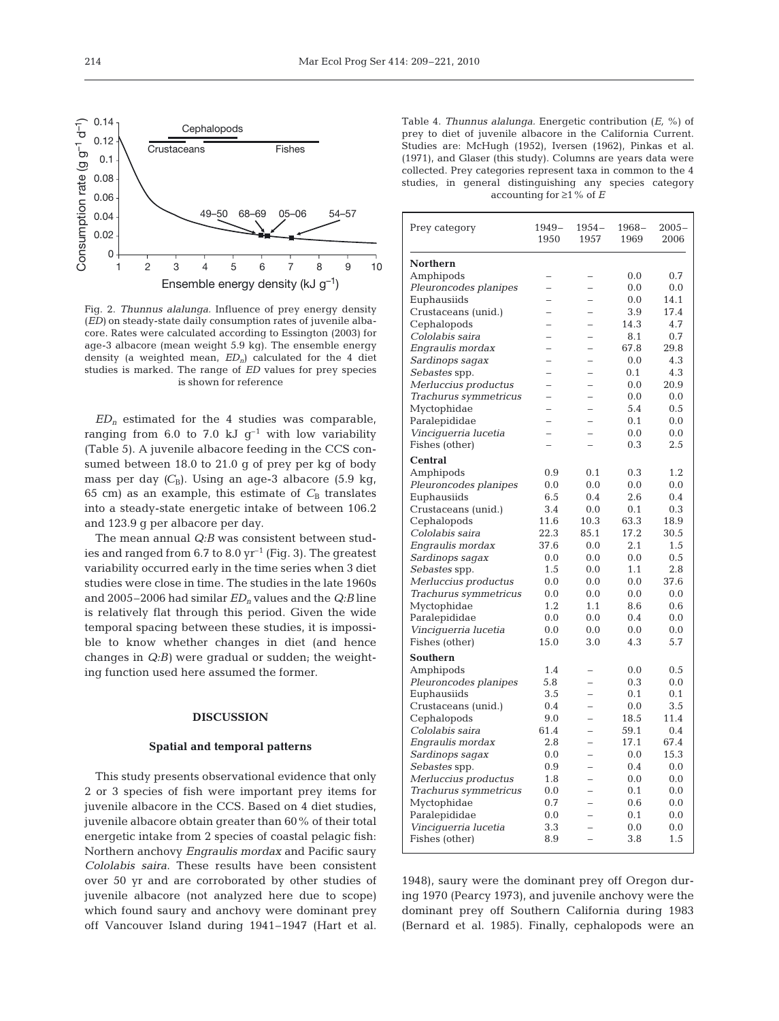

Fig. 2. *Thunnus alalunga.* Influence of prey energy density (*ED)* on steady-state daily consumption rates of juvenile albacore. Rates were calculated according to Essington (2003) for age-3 albacore (mean weight 5.9 kg). The ensemble energy density (a weighted mean, *EDn*) calculated for the 4 diet studies is marked. The range of *ED* values for prey species is shown for reference

 $ED_n$  estimated for the 4 studies was comparable, ranging from 6.0 to 7.0 kJ  $g^{-1}$  with low variability (Table 5). A juvenile albacore feeding in the CCS consumed between 18.0 to 21.0 g of prey per kg of body mass per day  $(C_B)$ . Using an age-3 albacore (5.9 kg, 65 cm) as an example, this estimate of  $C_B$  translates into a steady-state energetic intake of between 106.2 and 123.9 g per albacore per day.

The mean annual *Q:B* was consistent between studies and ranged from  $6.7$  to  $8.0 \,\mathrm{yr}^{-1}$  (Fig. 3). The greatest variability occurred early in the time series when 3 diet studies were close in time. The studies in the late 1960s and 2005–2006 had similar *EDn* values and the *Q:B* line is relatively flat through this period. Given the wide temporal spacing between these studies, it is impossible to know whether changes in diet (and hence changes in *Q:B)* were gradual or sudden; the weighting function used here assumed the former.

## **DISCUSSION**

#### **Spatial and temporal patterns**

This study presents observational evidence that only 2 or 3 species of fish were important prey items for juvenile albacore in the CCS. Based on 4 diet studies, juvenile albacore obtain greater than 60% of their total energetic intake from 2 species of coastal pelagic fish: Northern anchovy *Engraulis mordax* and Pacific saury *Cololabis saira*. These results have been consistent over 50 yr and are corroborated by other studies of juvenile albacore (not analyzed here due to scope) which found saury and anchovy were dominant prey off Vancouver Island during 1941–1947 (Hart et al. Table 4. *Thunnus alalunga.* Energetic contribution (*E,* %) of prey to diet of juvenile albacore in the California Current. Studies are: McHugh (1952), Iversen (1962), Pinkas et al. (1971), and Glaser (this study). Columns are years data were collected. Prey categories represent taxa in common to the 4 studies, in general distinguishing any species category accounting for ≥1% of *E*

| Prey category         | $1949-$<br>1950          | 1954–<br>1957            | $1968-$<br>1969 | $2005 -$<br>2006 |
|-----------------------|--------------------------|--------------------------|-----------------|------------------|
| Northern              |                          |                          |                 |                  |
| Amphipods             |                          |                          | 0.0             | 0.7              |
| Pleuroncodes planipes | $\overline{a}$           |                          | 0.0             | 0.0              |
| Euphausiids           | $\overline{a}$           |                          | 0.0             | 14.1             |
| Crustaceans (unid.)   | $\overline{\phantom{0}}$ |                          | 3.9             | 17.4             |
| Cephalopods           | -                        | -                        | 14.3            | 4.7              |
| Cololabis saira       | -                        |                          | 8.1             | 0.7              |
| Engraulis mordax      |                          |                          | 67.8            | 29.8             |
| Sardinops sagax       |                          |                          | 0.0             | 4.3              |
| Sebastes spp.         | $\overline{a}$           |                          | 0.1             | 4.3              |
| Merluccius productus  | $\overline{\phantom{0}}$ | $\overline{\phantom{0}}$ | 0.0             | 20.9             |
| Trachurus symmetricus | $\overline{\phantom{0}}$ | L.                       | 0.0             | 0.0              |
| Myctophidae           |                          |                          | 5.4             | 0.5              |
| Paralepididae         | $\overline{\phantom{0}}$ |                          | 0.1             | 0.0              |
| Vinciguerria lucetia  |                          |                          | 0.0             | 0.0              |
| Fishes (other)        |                          |                          | 0.3             | 2.5              |
| <b>Central</b>        |                          |                          |                 |                  |
| Amphipods             | 0.9                      | 0.1                      | 0.3             | 1.2              |
| Pleuroncodes planipes | 0.0                      | 0.0                      | 0.0             | 0.0              |
| Euphausiids           | 6.5                      | 0.4                      | 2.6             | 0.4              |
| Crustaceans (unid.)   | 3.4                      | 0.0                      | 0.1             | 0.3              |
| Cephalopods           | 11.6                     | 10.3                     | 63.3            | 18.9             |
| Cololabis saira       | 22.3                     | 85.1                     | 17.2            | 30.5             |
| Engraulis mordax      | 37.6                     | 0.0                      | 2.1             | 1.5              |
|                       | 0.0                      | 0.0                      | 0.0             | 0.5              |
| Sardinops sagax       | 1.5                      | 0.0                      | 1.1             | 2.8              |
| Sebastes spp.         | 0.0                      | 0.0                      | 0.0             | 37.6             |
| Merluccius productus  | 0.0                      |                          | 0.0             | 0.0              |
| Trachurus symmetricus | 1.2                      | 0.0<br>1.1               | 8.6             | 0.6              |
| Myctophidae           | 0.0                      |                          |                 | 0.0              |
| Paralepididae         |                          | 0.0                      | 0.4             |                  |
| Vinciquerria lucetia  | 0.0                      | 0.0                      | 0.0             | 0.0              |
| Fishes (other)        | 15.0                     | 3.0                      | 4.3             | 5.7              |
| Southern              |                          |                          |                 |                  |
| Amphipods             | 1.4                      |                          | 0.0             | 0.5              |
| Pleuroncodes planipes | 5.8                      |                          | 0.3             | 0.0              |
| Euphausiids           | 3.5                      | -                        | 0.1             | 0.1              |
| Crustaceans (unid.)   | 0.4                      |                          | 0.0             | 3.5              |
| Cephalopods           | 9.0                      |                          | 18.5            | 11.4             |
| Cololabis saira       | 61.4                     |                          | 59.1            | 0.4              |
| Engraulis mordax      | 2.8                      | $\overline{\phantom{0}}$ | 17.1            | 67.4             |
| Sardinops sagax       | 0.0                      |                          | 0.0             | 15.3             |
| Sebastes spp.         | 0.9                      | -                        | 0.4             | 0.0              |
| Merluccius productus  | 1.8                      |                          | 0.0             | 0.0              |
| Trachurus symmetricus | 0.0                      |                          | 0.1             | 0.0              |
| Myctophidae           | 0.7                      |                          | 0.6             | 0.0              |
| Paralepididae         | 0.0                      |                          | 0.1             | 0.0              |
| Vinciguerria lucetia  | 3.3                      | $\overline{\phantom{0}}$ | 0.0             | 0.0              |
| Fishes (other)        | 8.9                      | $\overline{a}$           | 3.8             | 1.5              |
|                       |                          |                          |                 |                  |

1948), saury were the dominant prey off Oregon during 1970 (Pearcy 1973), and juvenile anchovy were the dominant prey off Southern California during 1983 (Bernard et al. 1985). Finally, cephalopods were an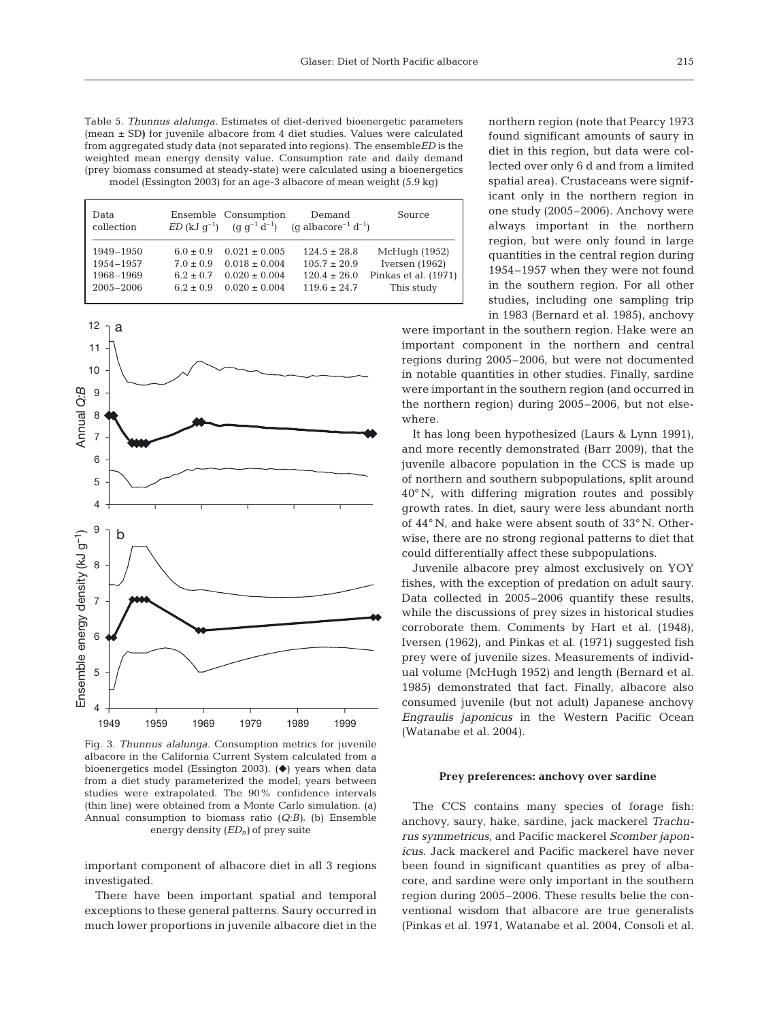Table 5. *Thunnus alalunga.* Estimates of diet-derived bioenergetic parameters (mean ± SD**)** for juvenile albacore from 4 diet studies. Values were calculated from aggregated study data (not separated into regions). The ensemble*ED* is the weighted mean energy density value. Consumption rate and daily demand (prey biomass consumed at steady-state) were calculated using a bioenergetics model (Essington 2003) for an age-3 albacore of mean weight (5.9 kg)

| Data<br>collection |             | Ensemble Consumption | Demand<br>$ED$ (kJ g <sup>-1</sup> ) (g g <sup>-1</sup> d <sup>-1</sup> ) (g albacore <sup>-1</sup> d <sup>-1</sup> ) | Source               |
|--------------------|-------------|----------------------|-----------------------------------------------------------------------------------------------------------------------|----------------------|
| 1949-1950          | $6.0 + 0.9$ | $0.021 + 0.005$      | $124.5 \pm 28.8$                                                                                                      | McHugh (1952)        |
| 1954-1957          | $7.0 + 0.9$ | $0.018 \pm 0.004$    | $105.7 + 20.9$                                                                                                        | Iversen $(1962)$     |
| 1968-1969          | $6.2 + 0.7$ | $0.020 \pm 0.004$    | $120.4 \pm 26.0$                                                                                                      | Pinkas et al. (1971) |
| $2005 - 2006$      | $6.2 + 0.9$ | $0.020 \pm 0.004$    | $119.6 \pm 24.7$                                                                                                      | This study           |



Fig. 3. *Thunnus alalunga.* Consumption metrics for juvenile albacore in the California Current System calculated from a bioenergetics model (Essington 2003).  $(\blacklozenge)$  years when data from a diet study parameterized the model; years between studies were extrapolated. The 90% confidence intervals (thin line) were obtained from a Monte Carlo simulation. (a) Annual consumption to biomass ratio (*Q:B)*. (b) Ensemble energy density (*EDn)* of prey suite

important component of albacore diet in all 3 regions investigated.

There have been important spatial and temporal exceptions to these general patterns. Saury occurred in much lower proportions in juvenile albacore diet in the northern region (note that Pearcy 1973 found significant amounts of saury in diet in this region, but data were collected over only 6 d and from a limited spatial area). Crustaceans were significant only in the northern region in one study (2005–2006). Anchovy were always important in the northern region, but were only found in large quantities in the central region during 1954–1957 when they were not found in the southern region. For all other studies, including one sampling trip in 1983 (Bernard et al. 1985), anchovy

were important in the southern region. Hake were an important component in the northern and central regions during 2005–2006, but were not documented in notable quantities in other studies. Finally, sardine were important in the southern region (and occurred in the northern region) during 2005–2006, but not elsewhere.

It has long been hypothesized (Laurs & Lynn 1991), and more recently demonstrated (Barr 2009), that the juvenile albacore population in the CCS is made up of northern and southern subpopulations, split around 40° N, with differing migration routes and possibly growth rates. In diet, saury were less abundant north of 44° N, and hake were absent south of 33° N. Otherwise, there are no strong regional patterns to diet that could differentially affect these subpopulations.

Juvenile albacore prey almost exclusively on YOY fishes, with the exception of predation on adult saury. Data collected in 2005–2006 quantify these results, while the discussions of prey sizes in historical studies corroborate them. Comments by Hart et al. (1948), Iversen (1962), and Pinkas et al. (1971) suggested fish prey were of juvenile sizes. Measurements of individual volume (McHugh 1952) and length (Bernard et al. 1985) demonstrated that fact. Finally, albacore also consumed juvenile (but not adult) Japanese anchovy *Engraulis japonicus* in the Western Pacific Ocean (Watanabe et al. 2004).

#### **Prey preferences: anchovy over sardine**

The CCS contains many species of forage fish: anchovy, saury, hake, sardine, jack mackerel *Trachurus symmetricus*, and Pacific mackerel *Scomber japonicus*. Jack mackerel and Pacific mackerel have never been found in significant quantities as prey of albacore, and sardine were only important in the southern region during 2005–2006. These results belie the conventional wisdom that albacore are true generalists (Pinkas et al. 1971, Watanabe et al. 2004, Consoli et al.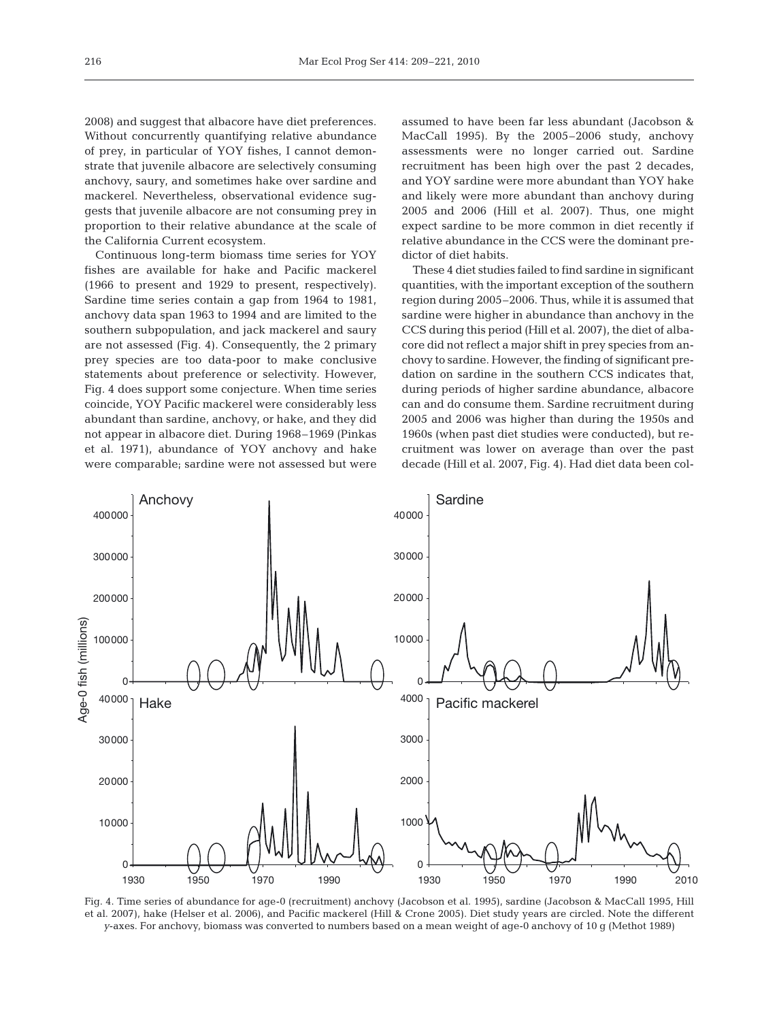2008) and suggest that albacore have diet preferences. Without concurrently quantifying relative abundance of prey, in particular of YOY fishes, I cannot demonstrate that juvenile albacore are selectively consuming anchovy, saury, and sometimes hake over sardine and mackerel. Nevertheless, observational evidence suggests that juvenile albacore are not consuming prey in proportion to their relative abundance at the scale of the California Current ecosystem.

Continuous long-term biomass time series for YOY fishes are available for hake and Pacific mackerel (1966 to present and 1929 to present, respectively). Sardine time series contain a gap from 1964 to 1981, anchovy data span 1963 to 1994 and are limited to the southern subpopulation, and jack mackerel and saury are not assessed (Fig. 4). Consequently, the 2 primary prey species are too data-poor to make conclusive statements about preference or selectivity. However, Fig. 4 does support some conjecture. When time series coincide, YOY Pacific mackerel were considerably less abundant than sardine, anchovy, or hake, and they did not appear in albacore diet. During 1968–1969 (Pinkas et al. 1971), abundance of YOY anchovy and hake were comparable; sardine were not assessed but were assumed to have been far less abundant (Jacobson & MacCall 1995). By the 2005–2006 study, anchovy assessments were no longer carried out. Sardine recruitment has been high over the past 2 decades, and YOY sardine were more abundant than YOY hake and likely were more abundant than anchovy during 2005 and 2006 (Hill et al. 2007). Thus, one might expect sardine to be more common in diet recently if relative abundance in the CCS were the dominant predictor of diet habits.

These 4 diet studies failed to find sardine in significant quantities, with the important exception of the southern region during 2005–2006. Thus, while it is assumed that sardine were higher in abundance than anchovy in the CCS during this period (Hill et al. 2007), the diet of albacore did not reflect a major shift in prey species from anchovy to sardine. However, the finding of significant predation on sardine in the southern CCS indicates that, during periods of higher sardine abundance, albacore can and do consume them. Sardine recruitment during 2005 and 2006 was higher than during the 1950s and 1960s (when past diet studies were conducted), but recruitment was lower on average than over the past decade (Hill et al. 2007, Fig. 4). Had diet data been col-



Fig. 4. Time series of abundance for age-0 (recruitment) anchovy (Jacobson et al. 1995), sardine (Jacobson & MacCall 1995, Hill et al. 2007), hake (Helser et al. 2006), and Pacific mackerel (Hill & Crone 2005). Diet study years are circled. Note the different *y*-axes. For anchovy, biomass was converted to numbers based on a mean weight of age-0 anchovy of 10 g (Methot 1989)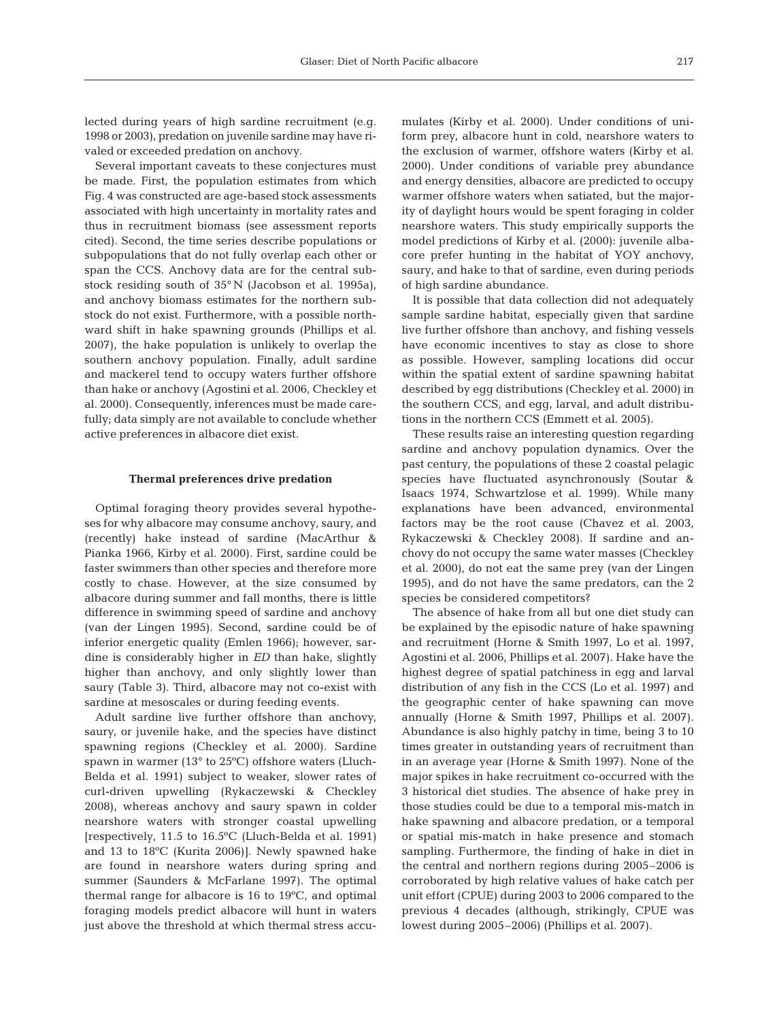lected during years of high sardine recruitment (e.g. 1998 or 2003), predation on juvenile sardine may have rivaled or exceeded predation on anchovy.

Several important caveats to these conjectures must be made. First, the population estimates from which Fig. 4 was constructed are age-based stock assessments associated with high uncertainty in mortality rates and thus in recruitment biomass (see assessment reports cited). Second, the time series describe populations or subpopulations that do not fully overlap each other or span the CCS. Anchovy data are for the central substock residing south of 35° N (Jacobson et al. 1995a), and anchovy biomass estimates for the northern substock do not exist. Furthermore, with a possible northward shift in hake spawning grounds (Phillips et al. 2007), the hake population is unlikely to overlap the southern anchovy population. Finally, adult sardine and mackerel tend to occupy waters further offshore than hake or anchovy (Agostini et al. 2006, Checkley et al. 2000). Consequently, inferences must be made carefully; data simply are not available to conclude whether active preferences in albacore diet exist.

#### **Thermal preferences drive predation**

Optimal foraging theory provides several hypotheses for why albacore may consume anchovy, saury, and (recently) hake instead of sardine (MacArthur & Pianka 1966, Kirby et al. 2000). First, sardine could be faster swimmers than other species and therefore more costly to chase. However, at the size consumed by albacore during summer and fall months, there is little difference in swimming speed of sardine and anchovy (van der Lingen 1995). Second, sardine could be of inferior energetic quality (Emlen 1966); however, sardine is considerably higher in *ED* than hake, slightly higher than anchovy, and only slightly lower than saury (Table 3). Third, albacore may not co-exist with sardine at mesoscales or during feeding events.

Adult sardine live further offshore than anchovy, saury, or juvenile hake, and the species have distinct spawning regions (Checkley et al. 2000). Sardine spawn in warmer (13° to 25ºC) offshore waters (Lluch-Belda et al. 1991) subject to weaker, slower rates of curl-driven upwelling (Rykaczewski & Checkley 2008), whereas anchovy and saury spawn in colder nearshore waters with stronger coastal upwelling [respectively, 11.5 to 16.5ºC (Lluch-Belda et al. 1991) and 13 to 18ºC (Kurita 2006)]. Newly spawned hake are found in nearshore waters during spring and summer (Saunders & McFarlane 1997). The optimal thermal range for albacore is 16 to 19ºC, and optimal foraging models predict albacore will hunt in waters just above the threshold at which thermal stress accumulates (Kirby et al. 2000). Under conditions of uniform prey, albacore hunt in cold, nearshore waters to the exclusion of warmer, offshore waters (Kirby et al. 2000). Under conditions of variable prey abundance and energy densities, albacore are predicted to occupy warmer offshore waters when satiated, but the majority of daylight hours would be spent foraging in colder nearshore waters. This study empirically supports the model predictions of Kirby et al. (2000): juvenile albacore prefer hunting in the habitat of YOY anchovy, saury, and hake to that of sardine, even during periods of high sardine abundance.

It is possible that data collection did not adequately sample sardine habitat, especially given that sardine live further offshore than anchovy, and fishing vessels have economic incentives to stay as close to shore as possible. However, sampling locations did occur within the spatial extent of sardine spawning habitat described by egg distributions (Checkley et al. 2000) in the southern CCS, and egg, larval, and adult distributions in the northern CCS (Emmett et al. 2005).

These results raise an interesting question regarding sardine and anchovy population dynamics. Over the past century, the populations of these 2 coastal pelagic species have fluctuated asynchronously (Soutar & Isaacs 1974, Schwartzlose et al. 1999). While many explanations have been advanced, environmental factors may be the root cause (Chavez et al. 2003, Rykaczewski & Checkley 2008). If sardine and anchovy do not occupy the same water masses (Checkley et al. 2000), do not eat the same prey (van der Lingen 1995), and do not have the same predators, can the 2 species be considered competitors?

The absence of hake from all but one diet study can be explained by the episodic nature of hake spawning and recruitment (Horne & Smith 1997, Lo et al. 1997, Agostini et al. 2006, Phillips et al. 2007). Hake have the highest degree of spatial patchiness in egg and larval distribution of any fish in the CCS (Lo et al. 1997) and the geographic center of hake spawning can move annually (Horne & Smith 1997, Phillips et al. 2007). Abundance is also highly patchy in time, being 3 to 10 times greater in outstanding years of recruitment than in an average year (Horne & Smith 1997). None of the major spikes in hake recruitment co-occurred with the 3 historical diet studies. The absence of hake prey in those studies could be due to a temporal mis-match in hake spawning and albacore predation, or a temporal or spatial mis-match in hake presence and stomach sampling. Furthermore, the finding of hake in diet in the central and northern regions during 2005–2006 is corroborated by high relative values of hake catch per unit effort (CPUE) during 2003 to 2006 compared to the previous 4 decades (although, strikingly, CPUE was lowest during 2005–2006) (Phillips et al. 2007).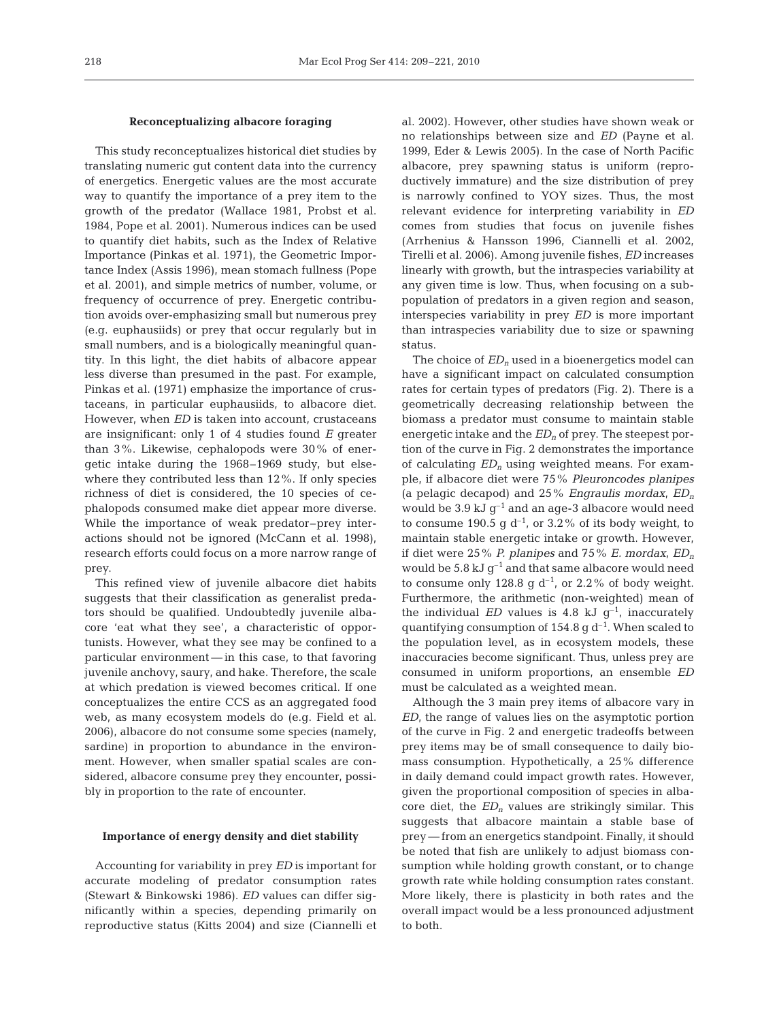## **Reconceptualizing albacore foraging**

This study reconceptualizes historical diet studies by translating numeric gut content data into the currency of energetics. Energetic values are the most accurate way to quantify the importance of a prey item to the growth of the predator (Wallace 1981, Probst et al. 1984, Pope et al. 2001). Numerous indices can be used to quantify diet habits, such as the Index of Relative Importance (Pinkas et al. 1971), the Geometric Importance Index (Assis 1996), mean stomach fullness (Pope et al. 2001), and simple metrics of number, volume, or frequency of occurrence of prey. Energetic contribution avoids over-emphasizing small but numerous prey (e.g. euphausiids) or prey that occur regularly but in small numbers, and is a biologically meaningful quantity. In this light, the diet habits of albacore appear less diverse than presumed in the past. For example, Pinkas et al. (1971) emphasize the importance of crustaceans, in particular euphausiids, to albacore diet. However, when *ED* is taken into account, crustaceans are insignificant: only 1 of 4 studies found *E* greater than 3%. Likewise, cephalopods were 30% of energetic intake during the 1968–1969 study, but elsewhere they contributed less than 12%. If only species richness of diet is considered, the 10 species of cephalopods consumed make diet appear more diverse. While the importance of weak predator–prey interactions should not be ignored (McCann et al. 1998), research efforts could focus on a more narrow range of prey.

This refined view of juvenile albacore diet habits suggests that their classification as generalist predators should be qualified. Undoubtedly juvenile albacore 'eat what they see', a characteristic of opportunists. However, what they see may be confined to a particular environment — in this case, to that favoring juvenile anchovy, saury, and hake. Therefore, the scale at which predation is viewed becomes critical. If one conceptualizes the entire CCS as an aggregated food web, as many ecosystem models do (e.g. Field et al. 2006), albacore do not consume some species (namely, sardine) in proportion to abundance in the environment. However, when smaller spatial scales are considered, albacore consume prey they encounter, possibly in proportion to the rate of encounter.

#### **Importance of energy density and diet stability**

Accounting for variability in prey *ED* is important for accurate modeling of predator consumption rates (Stewart & Binkowski 1986). *ED* values can differ significantly within a species, depending primarily on reproductive status (Kitts 2004) and size (Ciannelli et al. 2002). However, other studies have shown weak or no relationships between size and *ED* (Payne et al. 1999, Eder & Lewis 2005). In the case of North Pacific albacore, prey spawning status is uniform (reproductively immature) and the size distribution of prey is narrowly confined to YOY sizes. Thus, the most relevant evidence for interpreting variability in *ED* comes from studies that focus on juvenile fishes (Arrhenius & Hansson 1996, Ciannelli et al. 2002, Tirelli et al. 2006). Among juvenile fishes, *ED* increases linearly with growth, but the intraspecies variability at any given time is low. Thus, when focusing on a subpopulation of predators in a given region and season, interspecies variability in prey *ED* is more important than intraspecies variability due to size or spawning status.

The choice of  $ED_n$  used in a bioenergetics model can have a significant impact on calculated consumption rates for certain types of predators (Fig. 2). There is a geometrically decreasing relationship between the biomass a predator must consume to maintain stable energetic intake and the  $ED<sub>n</sub>$  of prey. The steepest portion of the curve in Fig. 2 demonstrates the importance of calculating *EDn* using weighted means. For example, if albacore diet were 75% *Pleuroncodes planipes* (a pelagic decapod) and 25% *Engraulis mordax*, *EDn* would be  $3.9 \text{ kJ g}^{-1}$  and an age-3 albacore would need to consume 190.5 g  $d^{-1}$ , or 3.2% of its body weight, to maintain stable energetic intake or growth. However, if diet were 25% *P. planipes* and 75% *E. mordax*, *EDn* would be 5.8 kJ  $g^{-1}$  and that same albacore would need to consume only 128.8 g  $d^{-1}$ , or 2.2% of body weight. Furthermore, the arithmetic (non-weighted) mean of the individual *ED* values is 4.8 kJ  $q^{-1}$ , inaccurately quantifying consumption of 154.8 g  $d^{-1}$ . When scaled to the population level, as in ecosystem models, these inaccuracies become significant. Thus, unless prey are consumed in uniform proportions, an ensemble *ED* must be calculated as a weighted mean.

Although the 3 main prey items of albacore vary in *ED*, the range of values lies on the asymptotic portion of the curve in Fig. 2 and energetic tradeoffs between prey items may be of small consequence to daily biomass consumption. Hypothetically, a 25% difference in daily demand could impact growth rates. However, given the proportional composition of species in albacore diet, the *EDn* values are strikingly similar. This suggests that albacore maintain a stable base of prey — from an energetics standpoint. Finally, it should be noted that fish are unlikely to adjust biomass consumption while holding growth constant, or to change growth rate while holding consumption rates constant. More likely, there is plasticity in both rates and the overall impact would be a less pronounced adjustment to both.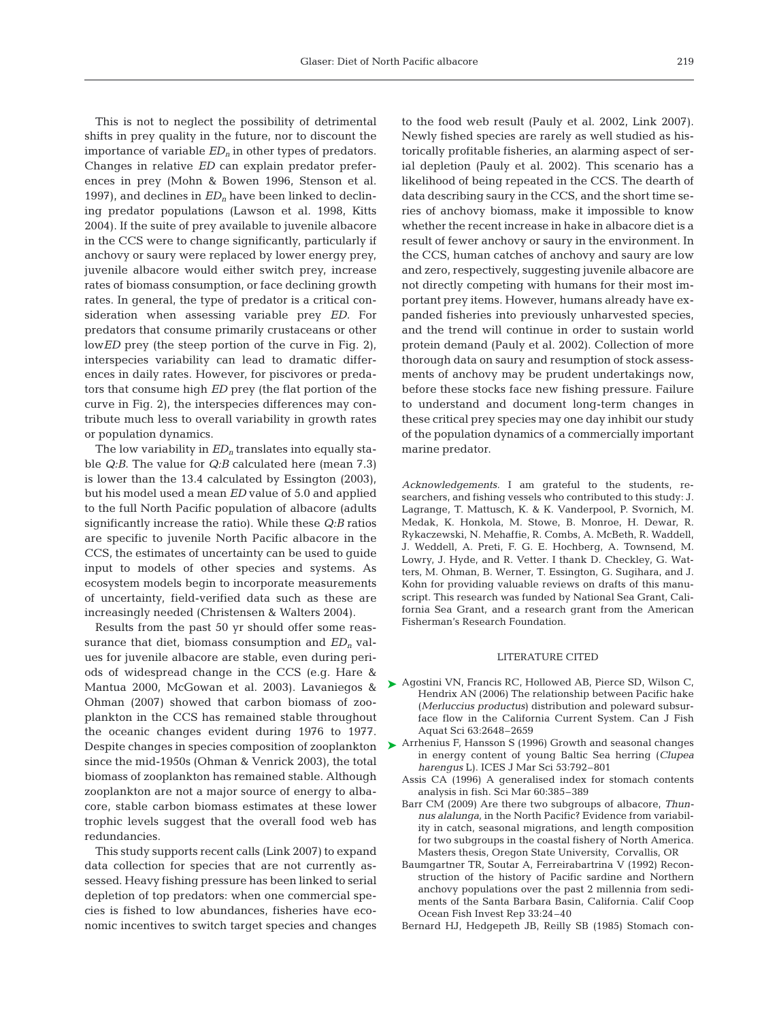This is not to neglect the possibility of detrimental shifts in prey quality in the future, nor to discount the importance of variable  $ED_n$  in other types of predators. Changes in relative *ED* can explain predator preferences in prey (Mohn & Bowen 1996, Stenson et al. 1997), and declines in  $ED<sub>n</sub>$  have been linked to declining predator populations (Lawson et al. 1998, Kitts 2004). If the suite of prey available to juvenile albacore in the CCS were to change significantly, particularly if anchovy or saury were replaced by lower energy prey, juvenile albacore would either switch prey, increase rates of biomass consumption, or face declining growth rates. In general, the type of predator is a critical consideration when assessing variable prey *ED*. For predators that consume primarily crustaceans or other low*ED* prey (the steep portion of the curve in Fig. 2), interspecies variability can lead to dramatic differences in daily rates. However, for piscivores or predators that consume high *ED* prey (the flat portion of the curve in Fig. 2), the interspecies differences may contribute much less to overall variability in growth rates or population dynamics.

The low variability in  $ED<sub>n</sub>$  translates into equally stable *Q:B*. The value for *Q:B* calculated here (mean 7.3) is lower than the 13.4 calculated by Essington (2003), but his model used a mean *ED* value of 5.0 and applied to the full North Pacific population of albacore (adults significantly increase the ratio). While these *Q:B* ratios are specific to juvenile North Pacific albacore in the CCS, the estimates of uncertainty can be used to guide input to models of other species and systems. As ecosystem models begin to incorporate measurements of uncertainty, field-verified data such as these are increasingly needed (Christensen & Walters 2004).

Results from the past 50 yr should offer some reassurance that diet, biomass consumption and  $ED<sub>n</sub>$  values for juvenile albacore are stable, even during periods of widespread change in the CCS (e.g. Hare & Mantua 2000, McGowan et al. 2003). Lavaniegos & Ohman (2007) showed that carbon biomass of zooplankton in the CCS has remained stable throughout the oceanic changes evident during 1976 to 1977. since the mid-1950s (Ohman & Venrick 2003), the total biomass of zooplankton has remained stable. Although zooplankton are not a major source of energy to albacore, stable carbon biomass estimates at these lower trophic levels suggest that the overall food web has redundancies.

This study supports recent calls (Link 2007) to expand data collection for species that are not currently assessed. Heavy fishing pressure has been linked to serial depletion of top predators: when one commercial species is fished to low abundances, fisheries have economic incentives to switch target species and changes

to the food web result (Pauly et al. 2002, Link 2007). Newly fished species are rarely as well studied as historically profitable fisheries, an alarming aspect of serial depletion (Pauly et al. 2002). This scenario has a likelihood of being repeated in the CCS. The dearth of data describing saury in the CCS, and the short time series of anchovy biomass, make it impossible to know whether the recent increase in hake in albacore diet is a result of fewer anchovy or saury in the environment. In the CCS, human catches of anchovy and saury are low and zero, respectively, suggesting juvenile albacore are not directly competing with humans for their most important prey items. However, humans already have expanded fisheries into previously unharvested species, and the trend will continue in order to sustain world protein demand (Pauly et al. 2002). Collection of more thorough data on saury and resumption of stock assessments of anchovy may be prudent undertakings now, before these stocks face new fishing pressure. Failure to understand and document long-term changes in these critical prey species may one day inhibit our study of the population dynamics of a commercially important marine predator.

*Acknowledgements.* I am grateful to the students, researchers, and fishing vessels who contributed to this study: J. Lagrange, T. Mattusch, K. & K. Vanderpool, P. Svornich, M. Medak, K. Honkola, M. Stowe, B. Monroe, H. Dewar, R. Rykaczewski, N. Mehaffie, R. Combs, A. McBeth, R. Waddell, J. Weddell, A. Preti, F. G. E. Hochberg, A. Townsend, M. Lowry, J. Hyde, and R. Vetter. I thank D. Checkley, G. Watters, M. Ohman, B. Werner, T. Essington, G. Sugihara, and J. Kohn for providing valuable reviews on drafts of this manuscript. This research was funded by National Sea Grant, California Sea Grant, and a research grant from the American Fisherman's Research Foundation.

## LITERATURE CITED

- ▶ Agostini VN, Francis RC, Hollowed AB, Pierce SD, Wilson C, Hendrix AN (2006) The relationship between Pacific hake (*Merluccius productus*) distribution and poleward subsurface flow in the California Current System. Can J Fish Aquat Sci 63:2648–2659
- Despite changes in species composition of zooplankton ▶ Arrhenius F, Hansson S (1996) Growth and seasonal changes in energy content of young Baltic Sea herring (*Clupea harengus* L). ICES J Mar Sci 53:792–801
	- Assis CA (1996) A generalised index for stomach contents analysis in fish. Sci Mar 60:385–389
	- Barr CM (2009) Are there two subgroups of albacore, *Thunnus alalunga*, in the North Pacific? Evidence from variability in catch, seasonal migrations, and length composition for two subgroups in the coastal fishery of North America. Masters thesis, Oregon State University, Corvallis, OR
	- Baumgartner TR, Soutar A, Ferreirabartrina V (1992) Reconstruction of the history of Pacific sardine and Northern anchovy populations over the past 2 millennia from sediments of the Santa Barbara Basin, California. Calif Coop Ocean Fish Invest Rep 33:24–40
	- Bernard HJ, Hedgepeth JB, Reilly SB (1985) Stomach con-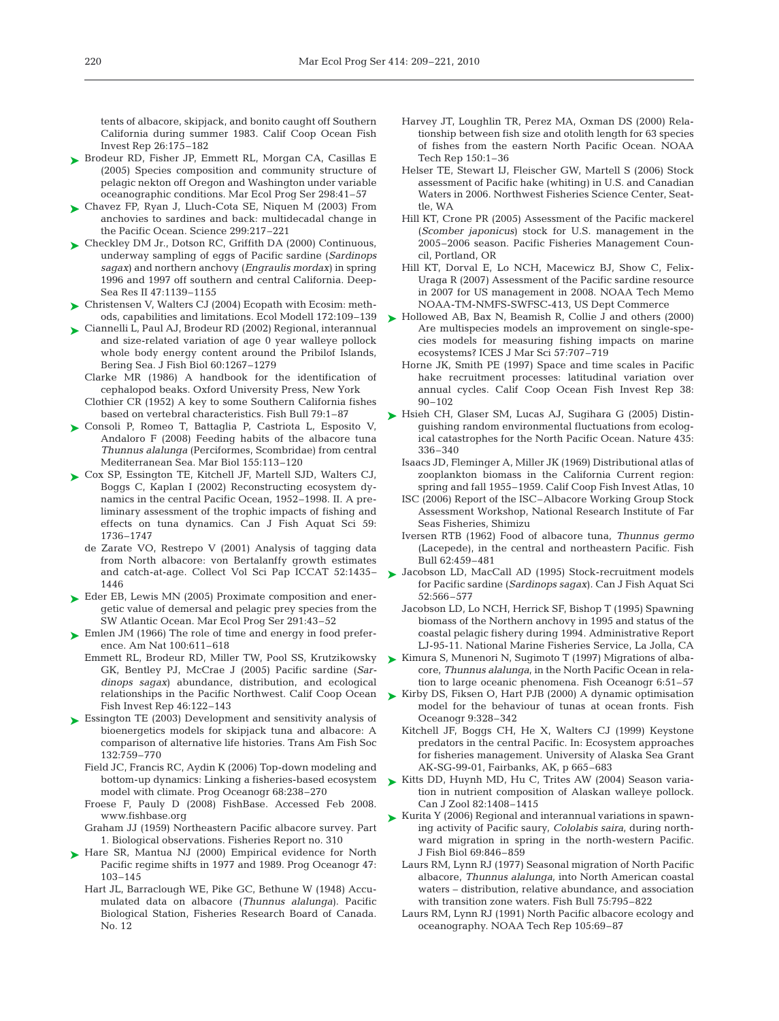tents of albacore, skipjack, and bonito caught off Southern California during summer 1983. Calif Coop Ocean Fish Invest Rep 26:175–182

- ► Brodeur RD, Fisher JP, Emmett RL, Morgan CA, Casillas E (2005) Species composition and community structure of pelagic nekton off Oregon and Washington under variable oceanographic conditions. Mar Ecol Prog Ser 298:41–57
- Chavez FP, Ryan J, Lluch-Cota SE, Niquen M (2003) From ➤ anchovies to sardines and back: multidecadal change in the Pacific Ocean. Science 299:217–221
- ► Checkley DM Jr., Dotson RC, Griffith DA (2000) Continuous, underway sampling of eggs of Pacific sardine (*Sardinops sagax*) and northern anchovy (*Engraulis mordax*) in spring 1996 and 1997 off southern and central California. Deep-Sea Res II 47:1139–1155
- ► Christensen V, Walters CJ (2004) Ecopath with Ecosim: methods, capabilities and limitations. Ecol Modell 172:109–139
- Ciannelli L, Paul AJ, Brodeur RD (2002) Regional, interannual ➤ and size-related variation of age 0 year walleye pollock whole body energy content around the Pribilof Islands, Bering Sea. J Fish Biol 60:1267–1279
	- Clarke MR (1986) A handbook for the identification of cephalopod beaks. Oxford University Press, New York
	- Clothier CR (1952) A key to some Southern California fishes based on vertebral characteristics. Fish Bull 79:1–87
- ► Consoli P, Romeo T, Battaglia P, Castriota L, Esposito V, Andaloro F (2008) Feeding habits of the albacore tuna *Thunnus alalunga* (Perciformes, Scombridae) from central Mediterranean Sea. Mar Biol 155:113–120
- ► Cox SP, Essington TE, Kitchell JF, Martell SJD, Walters CJ, Boggs C, Kaplan I (2002) Reconstructing ecosystem dynamics in the central Pacific Ocean, 1952–1998. II. A preliminary assessment of the trophic impacts of fishing and effects on tuna dynamics. Can J Fish Aquat Sci 59: 1736–1747
	- de Zarate VO, Restrepo V (2001) Analysis of tagging data from North albacore: von Bertalanffy growth estimates and catch-at-age. Collect Vol Sci Pap ICCAT 52:1435– 1446
- ► Eder EB, Lewis MN (2005) Proximate composition and energetic value of demersal and pelagic prey species from the SW Atlantic Ocean. Mar Ecol Prog Ser 291:43–52
- ► Emlen JM (1966) The role of time and energy in food preference. Am Nat 100:611–618
	- Emmett RL, Brodeur RD, Miller TW, Pool SS, Krutzikowsky GK, Bentley PJ, McCrae J (2005) Pacific sardine (*Sardinops sagax*) abundance, distribution, and ecological Fish Invest Rep 46:122–143
- ► Essington TE (2003) Development and sensitivity analysis of bioenergetics models for skipjack tuna and albacore: A comparison of alternative life histories. Trans Am Fish Soc 132:759–770
	- Field JC, Francis RC, Aydin K (2006) Top-down modeling and bottom-up dynamics: Linking a fisheries-based ecosystem model with climate. Prog Oceanogr 68:238–270
	- Froese F, Pauly D (2008) FishBase. Accessed Feb 2008. www.fishbase.org
	- Graham JJ (1959) Northeastern Pacific albacore survey. Part 1. Biological observations. Fisheries Report no. 310
- ▶ Hare SR, Mantua NJ (2000) Empirical evidence for North Pacific regime shifts in 1977 and 1989. Prog Oceanogr 47: 103–145
	- Hart JL, Barraclough WE, Pike GC, Bethune W (1948) Accumulated data on albacore (*Thunnus alalunga*). Pacific Biological Station, Fisheries Research Board of Canada. No. 12
- Harvey JT, Loughlin TR, Perez MA, Oxman DS (2000) Relationship between fish size and otolith length for 63 species of fishes from the eastern North Pacific Ocean. NOAA Tech Rep 150:1–36
- Helser TE, Stewart IJ, Fleischer GW, Martell S (2006) Stock assessment of Pacific hake (whiting) in U.S. and Canadian Waters in 2006. Northwest Fisheries Science Center, Seattle, WA
- Hill KT, Crone PR (2005) Assessment of the Pacific mackerel (*Scomber japonicus*) stock for U.S. management in the 2005–2006 season. Pacific Fisheries Management Council, Portland, OR
- Hill KT, Dorval E, Lo NCH, Macewicz BJ, Show C, Felix-Uraga R (2007) Assessment of the Pacific sardine resource in 2007 for US management in 2008. NOAA Tech Memo NOAA-TM-NMFS-SWFSC-413, US Dept Commerce
- ► Hollowed AB, Bax N, Beamish R, Collie J and others (2000) Are multispecies models an improvement on single-species models for measuring fishing impacts on marine ecosystems? ICES J Mar Sci 57:707–719
	- Horne JK, Smith PE (1997) Space and time scales in Pacific hake recruitment processes: latitudinal variation over annual cycles. Calif Coop Ocean Fish Invest Rep 38:  $90 - 102$
- ► Hsieh CH, Glaser SM, Lucas AJ, Sugihara G (2005) Distinguishing random environmental fluctuations from ecological catastrophes for the North Pacific Ocean. Nature 435: 336–340
	- Isaacs JD, Fleminger A, Miller JK (1969) Distributional atlas of zooplankton biomass in the California Current region: spring and fall 1955–1959. Calif Coop Fish Invest Atlas, 10
	- ISC (2006) Report of the ISC–Albacore Working Group Stock Assessment Workshop, National Research Institute of Far Seas Fisheries, Shimizu
	- Iversen RTB (1962) Food of albacore tuna, *Thunnus germo* (Lacepede), in the central and northeastern Pacific. Fish Bull 62:459–481
- ► Jacobson LD, MacCall AD (1995) Stock-recruitment models for Pacific sardine (*Sardinops sagax*). Can J Fish Aquat Sci 52:566–577
	- Jacobson LD, Lo NCH, Herrick SF, Bishop T (1995) Spawning biomass of the Northern anchovy in 1995 and status of the coastal pelagic fishery during 1994. Administrative Report LJ-95-11. National Marine Fisheries Service, La Jolla, CA
- ► Kimura S, Munenori N, Sugimoto T (1997) Migrations of albacore, *Thunnus alalunga*, in the North Pacific Ocean in relation to large oceanic phenomena. Fish Oceanogr 6:51–57
- relationships in the Pacific Northwest. Calif Coop Ocean  $\qquad$  Kirby DS, Fiksen O, Hart PJB (2000) A dynamic optimisation model for the behaviour of tunas at ocean fronts. Fish Oceanogr 9:328–342
	- Kitchell JF, Boggs CH, He X, Walters CJ (1999) Keystone predators in the central Pacific. In: Ecosystem approaches for fisheries management. University of Alaska Sea Grant AK-SG-99-01, Fairbanks, AK, p 665–683
	- ► Kitts DD, Huynh MD, Hu C, Trites AW (2004) Season variation in nutrient composition of Alaskan walleye pollock. Can J Zool 82:1408–1415
	- ► Kurita Y (2006) Regional and interannual variations in spawning activity of Pacific saury, *Cololabis saira*, during northward migration in spring in the north-western Pacific. J Fish Biol 69:846–859
		- Laurs RM, Lynn RJ (1977) Seasonal migration of North Pacific albacore, *Thunnus alalunga*, into North American coastal waters – distribution, relative abundance, and association with transition zone waters. Fish Bull 75:795–822
		- Laurs RM, Lynn RJ (1991) North Pacific albacore ecology and oceanography. NOAA Tech Rep 105:69–87